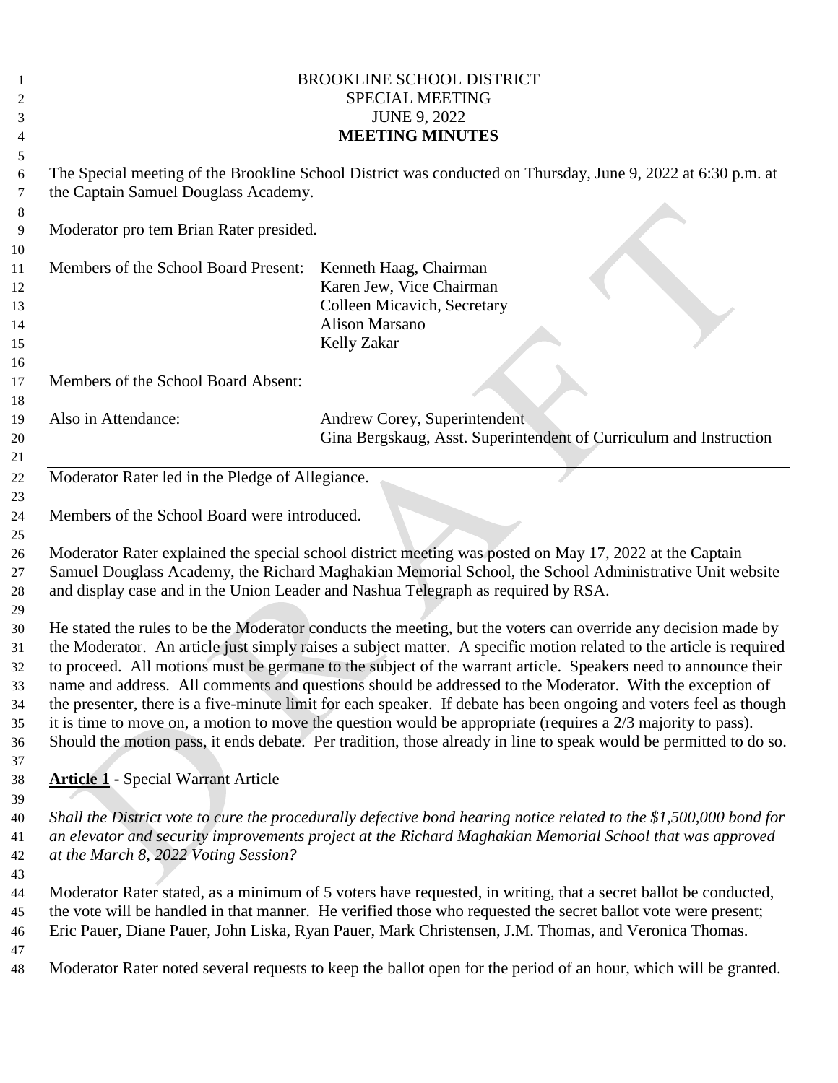|          | <b>BROOKLINE SCHOOL DISTRICT</b>                                                                                                                                                                                                     |                                                                                                                  |  |  |  |
|----------|--------------------------------------------------------------------------------------------------------------------------------------------------------------------------------------------------------------------------------------|------------------------------------------------------------------------------------------------------------------|--|--|--|
| 2        | <b>SPECIAL MEETING</b>                                                                                                                                                                                                               |                                                                                                                  |  |  |  |
| 3        | <b>JUNE 9, 2022</b>                                                                                                                                                                                                                  |                                                                                                                  |  |  |  |
| 4        |                                                                                                                                                                                                                                      | <b>MEETING MINUTES</b>                                                                                           |  |  |  |
| 5        |                                                                                                                                                                                                                                      |                                                                                                                  |  |  |  |
| 6        | The Special meeting of the Brookline School District was conducted on Thursday, June 9, 2022 at 6:30 p.m. at                                                                                                                         |                                                                                                                  |  |  |  |
| 7        | the Captain Samuel Douglass Academy.                                                                                                                                                                                                 |                                                                                                                  |  |  |  |
| 8        |                                                                                                                                                                                                                                      |                                                                                                                  |  |  |  |
| 9        | Moderator pro tem Brian Rater presided.                                                                                                                                                                                              |                                                                                                                  |  |  |  |
| 10<br>11 | Members of the School Board Present:                                                                                                                                                                                                 | Kenneth Haag, Chairman                                                                                           |  |  |  |
| 12       |                                                                                                                                                                                                                                      | Karen Jew, Vice Chairman                                                                                         |  |  |  |
| 13       |                                                                                                                                                                                                                                      | Colleen Micavich, Secretary                                                                                      |  |  |  |
| 14       |                                                                                                                                                                                                                                      | <b>Alison Marsano</b>                                                                                            |  |  |  |
| 15       |                                                                                                                                                                                                                                      | Kelly Zakar                                                                                                      |  |  |  |
| 16       |                                                                                                                                                                                                                                      |                                                                                                                  |  |  |  |
| 17       | Members of the School Board Absent:                                                                                                                                                                                                  |                                                                                                                  |  |  |  |
| 18       |                                                                                                                                                                                                                                      |                                                                                                                  |  |  |  |
| 19       | Also in Attendance:                                                                                                                                                                                                                  | Andrew Corey, Superintendent                                                                                     |  |  |  |
| 20       |                                                                                                                                                                                                                                      | Gina Bergskaug, Asst. Superintendent of Curriculum and Instruction                                               |  |  |  |
| 21       |                                                                                                                                                                                                                                      |                                                                                                                  |  |  |  |
| 22       | Moderator Rater led in the Pledge of Allegiance.                                                                                                                                                                                     |                                                                                                                  |  |  |  |
| 23       |                                                                                                                                                                                                                                      |                                                                                                                  |  |  |  |
| 24       | Members of the School Board were introduced.                                                                                                                                                                                         |                                                                                                                  |  |  |  |
| 25       |                                                                                                                                                                                                                                      |                                                                                                                  |  |  |  |
| 26       | Moderator Rater explained the special school district meeting was posted on May 17, 2022 at the Captain                                                                                                                              |                                                                                                                  |  |  |  |
| 27       | Samuel Douglass Academy, the Richard Maghakian Memorial School, the School Administrative Unit website                                                                                                                               |                                                                                                                  |  |  |  |
| 28       |                                                                                                                                                                                                                                      | and display case and in the Union Leader and Nashua Telegraph as required by RSA.                                |  |  |  |
| 29       |                                                                                                                                                                                                                                      |                                                                                                                  |  |  |  |
| 30       | He stated the rules to be the Moderator conducts the meeting, but the voters can override any decision made by                                                                                                                       |                                                                                                                  |  |  |  |
| 31       | the Moderator. An article just simply raises a subject matter. A specific motion related to the article is required                                                                                                                  |                                                                                                                  |  |  |  |
| 32       | to proceed. All motions must be germane to the subject of the warrant article. Speakers need to announce their                                                                                                                       |                                                                                                                  |  |  |  |
| 33       | name and address. All comments and questions should be addressed to the Moderator. With the exception of                                                                                                                             |                                                                                                                  |  |  |  |
| 34       | the presenter, there is a five-minute limit for each speaker. If debate has been ongoing and voters feel as though<br>it is time to move on, a motion to move the question would be appropriate (requires a $2/3$ majority to pass). |                                                                                                                  |  |  |  |
| 35<br>36 | Should the motion pass, it ends debate. Per tradition, those already in line to speak would be permitted to do so.                                                                                                                   |                                                                                                                  |  |  |  |
| 37       |                                                                                                                                                                                                                                      |                                                                                                                  |  |  |  |
| 38       | <b>Article 1 - Special Warrant Article</b>                                                                                                                                                                                           |                                                                                                                  |  |  |  |
| 39       |                                                                                                                                                                                                                                      |                                                                                                                  |  |  |  |
| 40       | Shall the District vote to cure the procedurally defective bond hearing notice related to the \$1,500,000 bond for                                                                                                                   |                                                                                                                  |  |  |  |
| 41       | an elevator and security improvements project at the Richard Maghakian Memorial School that was approved                                                                                                                             |                                                                                                                  |  |  |  |
| 42       | at the March 8, 2022 Voting Session?                                                                                                                                                                                                 |                                                                                                                  |  |  |  |
| 43       |                                                                                                                                                                                                                                      |                                                                                                                  |  |  |  |
| 44       |                                                                                                                                                                                                                                      | Moderator Rater stated, as a minimum of 5 voters have requested, in writing, that a secret ballot be conducted,  |  |  |  |
| 45       | the vote will be handled in that manner. He verified those who requested the secret ballot vote were present;                                                                                                                        |                                                                                                                  |  |  |  |
| 46       |                                                                                                                                                                                                                                      | Eric Pauer, Diane Pauer, John Liska, Ryan Pauer, Mark Christensen, J.M. Thomas, and Veronica Thomas.             |  |  |  |
| 47       |                                                                                                                                                                                                                                      |                                                                                                                  |  |  |  |
| 48       |                                                                                                                                                                                                                                      | Moderator Rater noted several requests to keep the ballot open for the period of an hour, which will be granted. |  |  |  |
|          |                                                                                                                                                                                                                                      |                                                                                                                  |  |  |  |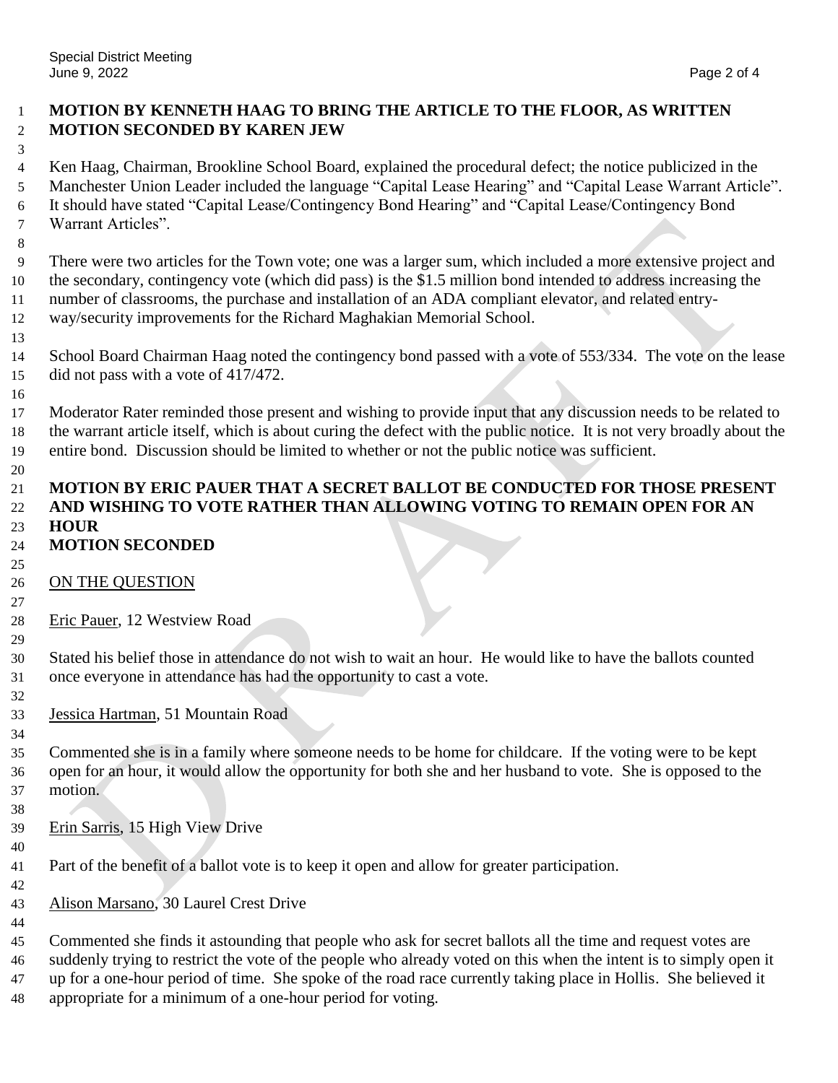# **MOTION BY KENNETH HAAG TO BRING THE ARTICLE TO THE FLOOR, AS WRITTEN MOTION SECONDED BY KAREN JEW**

 Ken Haag, Chairman, Brookline School Board, explained the procedural defect; the notice publicized in the Manchester Union Leader included the language "Capital Lease Hearing" and "Capital Lease Warrant Article". It should have stated "Capital Lease/Contingency Bond Hearing" and "Capital Lease/Contingency Bond Warrant Articles".

 There were two articles for the Town vote; one was a larger sum, which included a more extensive project and the secondary, contingency vote (which did pass) is the \$1.5 million bond intended to address increasing the number of classrooms, the purchase and installation of an ADA compliant elevator, and related entry-way/security improvements for the Richard Maghakian Memorial School.

 School Board Chairman Haag noted the contingency bond passed with a vote of 553/334. The vote on the lease did not pass with a vote of 417/472.

 Moderator Rater reminded those present and wishing to provide input that any discussion needs to be related to the warrant article itself, which is about curing the defect with the public notice. It is not very broadly about the entire bond. Discussion should be limited to whether or not the public notice was sufficient.

# **MOTION BY ERIC PAUER THAT A SECRET BALLOT BE CONDUCTED FOR THOSE PRESENT AND WISHING TO VOTE RATHER THAN ALLOWING VOTING TO REMAIN OPEN FOR AN HOUR**

- **MOTION SECONDED**
- 26 ON THE QUESTION
- Eric Pauer, 12 Westview Road
- 

 Stated his belief those in attendance do not wish to wait an hour. He would like to have the ballots counted once everyone in attendance has had the opportunity to cast a vote.

Jessica Hartman, 51 Mountain Road

 Commented she is in a family where someone needs to be home for childcare. If the voting were to be kept open for an hour, it would allow the opportunity for both she and her husband to vote. She is opposed to the motion.

Erin Sarris, 15 High View Drive

Part of the benefit of a ballot vote is to keep it open and allow for greater participation.

Alison Marsano, 30 Laurel Crest Drive

 Commented she finds it astounding that people who ask for secret ballots all the time and request votes are suddenly trying to restrict the vote of the people who already voted on this when the intent is to simply open it up for a one-hour period of time. She spoke of the road race currently taking place in Hollis. She believed it appropriate for a minimum of a one-hour period for voting.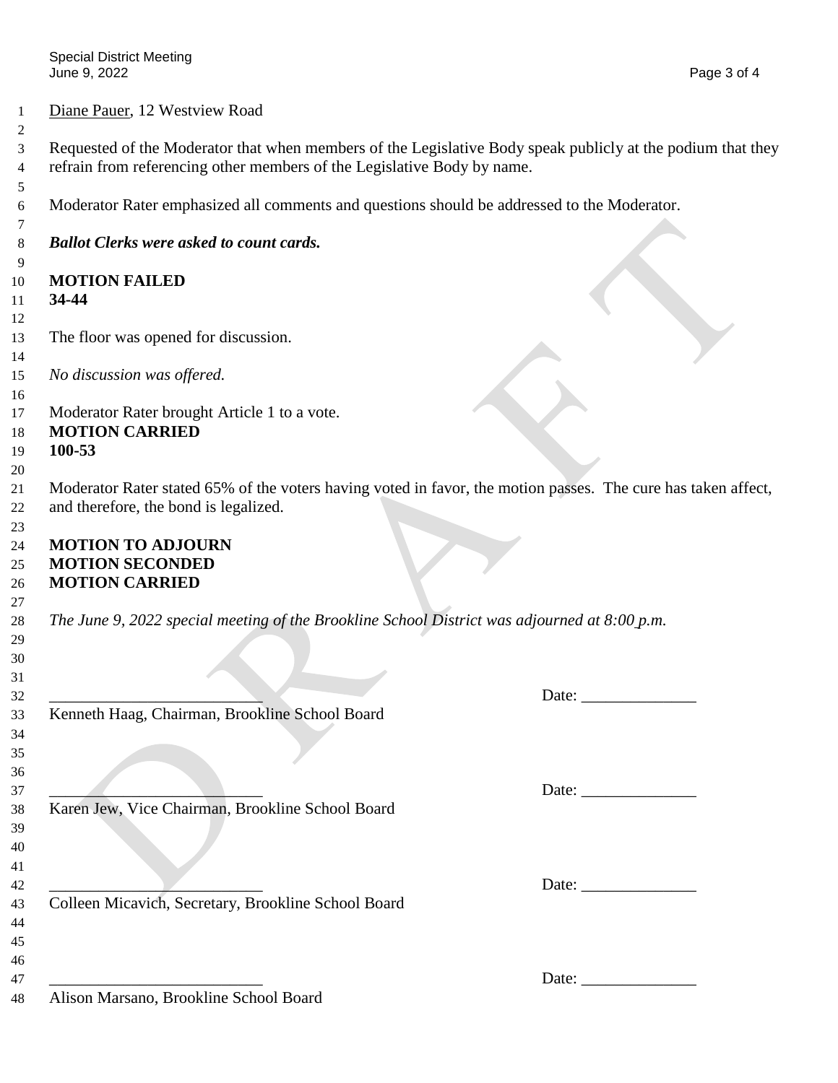### Diane Pauer, 12 Westview Road

 Requested of the Moderator that when members of the Legislative Body speak publicly at the podium that they refrain from referencing other members of the Legislative Body by name.

Moderator Rater emphasized all comments and questions should be addressed to the Moderator.

*Ballot Clerks were asked to count cards.*

#### **MOTION FAILED**

### **34-44**

- The floor was opened for discussion.
- *No discussion was offered.*
- 

Moderator Rater brought Article 1 to a vote.

### **MOTION CARRIED**

## **100-53**

 Moderator Rater stated 65% of the voters having voted in favor, the motion passes. The cure has taken affect, and therefore, the bond is legalized.

### **MOTION TO ADJOURN MOTION SECONDED**

### **MOTION CARRIED**

*The June 9, 2022 special meeting of the Brookline School District was adjourned at 8:00 p.m.*

 

 

 

 

\_\_\_\_\_\_\_\_\_\_\_\_\_\_\_\_\_\_\_\_\_\_\_\_\_\_ Date: \_\_\_\_\_\_\_\_\_\_\_\_\_\_

Kenneth Haag, Chairman, Brookline School Board

Karen Jew, Vice Chairman, Brookline School Board

Colleen Micavich, Secretary, Brookline School Board

Alison Marsano, Brookline School Board

Date:

\_\_\_\_\_\_\_\_\_\_\_\_\_\_\_\_\_\_\_\_\_\_\_\_\_\_ Date: \_\_\_\_\_\_\_\_\_\_\_\_\_\_

 $47 \quad \text{Date:}$